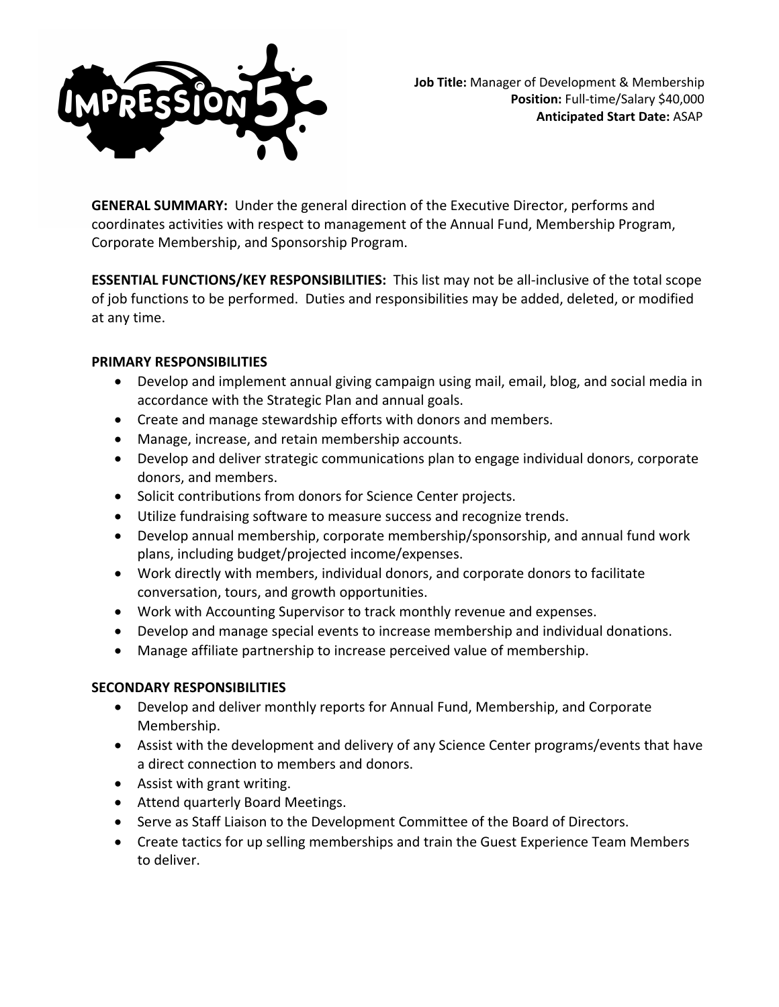

**GENERAL SUMMARY:** Under the general direction of the Executive Director, performs and coordinates activities with respect to management of the Annual Fund, Membership Program, Corporate Membership, and Sponsorship Program.

**ESSENTIAL FUNCTIONS/KEY RESPONSIBILITIES:** This list may not be all-inclusive of the total scope of job functions to be performed. Duties and responsibilities may be added, deleted, or modified at any time.

# **PRIMARY RESPONSIBILITIES**

- Develop and implement annual giving campaign using mail, email, blog, and social media in accordance with the Strategic Plan and annual goals.
- Create and manage stewardship efforts with donors and members.
- Manage, increase, and retain membership accounts.
- Develop and deliver strategic communications plan to engage individual donors, corporate donors, and members.
- Solicit contributions from donors for Science Center projects.
- Utilize fundraising software to measure success and recognize trends.
- Develop annual membership, corporate membership/sponsorship, and annual fund work plans, including budget/projected income/expenses.
- Work directly with members, individual donors, and corporate donors to facilitate conversation, tours, and growth opportunities.
- Work with Accounting Supervisor to track monthly revenue and expenses.
- Develop and manage special events to increase membership and individual donations.
- Manage affiliate partnership to increase perceived value of membership.

# **SECONDARY RESPONSIBILITIES**

- Develop and deliver monthly reports for Annual Fund, Membership, and Corporate Membership.
- Assist with the development and delivery of any Science Center programs/events that have a direct connection to members and donors.
- Assist with grant writing.
- Attend quarterly Board Meetings.
- Serve as Staff Liaison to the Development Committee of the Board of Directors.
- Create tactics for up selling memberships and train the Guest Experience Team Members to deliver.